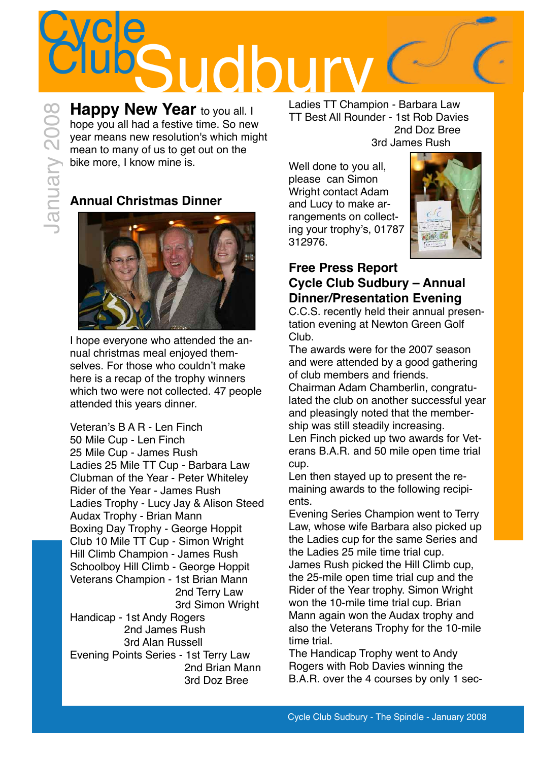

**Happy New Year to you all. I** hope you all had a festive time. So new year means new resolution's which might mean to many of us to get out on the bike more, I know mine is.

## **Annual Christmas Dinner**

January 2008



I hope everyone who attended the annual christmas meal enjoyed themselves. For those who couldn't make here is a recap of the trophy winners which two were not collected. 47 people attended this years dinner.

Veteran's B A R - Len Finch 50 Mile Cup - Len Finch 
25 Mile Cup - James Rush 
Ladies 25 Mile TT Cup - Barbara Law Clubman of the Year - Peter Whiteley Rider of the Year - James Rush Ladies Trophy - Lucy Jay & Alison Steed Audax Trophy - Brian Mann Boxing Day Trophy - George Hoppit Club 10 Mile TT Cup - Simon Wright Hill Climb Champion - James Rush Schoolboy Hill Climb - George Hoppit Veterans Champion - 1st Brian Mann 2nd Terry Law 3rd Simon Wright Handicap - 1st Andy Rogers 2nd James Rush 3rd Alan Russell Evening Points Series - 1st Terry Law 2nd Brian Mann 3rd Doz Bree

Ladies TT Champion - Barbara Law TT Best All Rounder - 1st Rob Davies 2nd Doz Bree 3rd James Rush

Well done to you all, please can Simon Wright contact Adam and Lucy to make arrangements on collecting your trophy's, 01787 312976.



### **Free Press Report Cycle Club Sudbury – Annual Dinner/Presentation Evening**

C.C.S. recently held their annual presentation evening at Newton Green Golf Club.

The awards were for the 2007 season and were attended by a good gathering of club members and friends.

Chairman Adam Chamberlin, congratulated the club on another successful year and pleasingly noted that the membership was still steadily increasing. Len Finch picked up two awards for Veterans B.A.R. and 50 mile open time trial cup.

Len then stayed up to present the remaining awards to the following recipients.

Evening Series Champion went to Terry Law, whose wife Barbara also picked up the Ladies cup for the same Series and the Ladies 25 mile time trial cup. James Rush picked the Hill Climb cup, the 25-mile open time trial cup and the Rider of the Year trophy. Simon Wright won the 10-mile time trial cup. Brian Mann again won the Audax trophy and also the Veterans Trophy for the 10-mile time trial.

The Handicap Trophy went to Andy Rogers with Rob Davies winning the B.A.R. over the 4 courses by only 1 sec-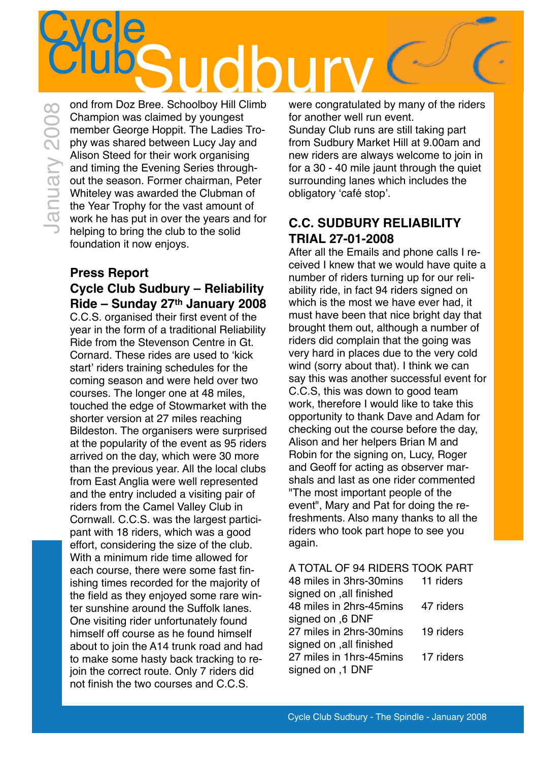# **Cycle** ClubSudboy Hill Climb were congratulate

ond from Doz Bree. Schoolboy Hill Climb Champion was claimed by youngest member George Hoppit. The Ladies Trophy was shared between Lucy Jay and Alison Steed for their work organising and timing the Evening Series throughout the season. Former chairman, Peter Whiteley was awarded the Clubman of the Year Trophy for the vast amount of work he has put in over the years and for helping to bring the club to the solid foundation it now enjoys. January 2008

#### **Press Report Cycle Club Sudbury – Reliability Ride – Sunday 27th January 2008** C.C.S. organised their first event of the year in the form of a traditional Reliability Ride from the Stevenson Centre in Gt. Cornard. These rides are used to ʻkick start' riders training schedules for the coming season and were held over two courses. The longer one at 48 miles, touched the edge of Stowmarket with the shorter version at 27 miles reaching Bildeston. The organisers were surprised at the popularity of the event as 95 riders arrived on the day, which were 30 more than the previous year. All the local clubs from East Anglia were well represented and the entry included a visiting pair of riders from the Camel Valley Club in Cornwall. C.C.S. was the largest participant with 18 riders, which was a good effort, considering the size of the club.

With a minimum ride time allowed for each course, there were some fast finishing times recorded for the majority of the field as they enjoyed some rare winter sunshine around the Suffolk lanes. One visiting rider unfortunately found himself off course as he found himself about to join the A14 trunk road and had to make some hasty back tracking to rejoin the correct route. Only 7 riders did

not finish the two courses and C.C.S.

were congratulated by many of the riders for another well run event.

Sunday Club runs are still taking part from Sudbury Market Hill at 9.00am and new riders are always welcome to join in for a 30 - 40 mile jaunt through the quiet surrounding lanes which includes the obligatory ʻcafé stop'.

## **C.C. SUDBURY RELIABILITY TRIAL 27-01-2008**

After all the Emails and phone calls I received I knew that we would have quite a number of riders turning up for our reliability ride, in fact 94 riders signed on which is the most we have ever had, it must have been that nice bright day that brought them out, although a number of riders did complain that the going was very hard in places due to the very cold wind (sorry about that). I think we can say this was another successful event for C.C.S, this was down to good team work, therefore I would like to take this opportunity to thank Dave and Adam for checking out the course before the day, Alison and her helpers Brian M and Robin for the signing on, Lucy, Roger and Geoff for acting as observer marshals and last as one rider commented "The most important people of the event", Mary and Pat for doing the refreshments. Also many thanks to all the riders who took part hope to see you again.

| A TOTAL OF 94 RIDERS TOOK PART    |           |
|-----------------------------------|-----------|
| 48 miles in 3hrs-30mins 11 riders |           |
| signed on , all finished          |           |
| 48 miles in 2hrs-45mins           | 47 riders |
| signed on ,6 DNF                  |           |
| 27 miles in 2hrs-30mins           | 19 riders |
| signed on , all finished          |           |
| 27 miles in 1hrs-45mins           | 17 riders |
| signed on ,1 DNF                  |           |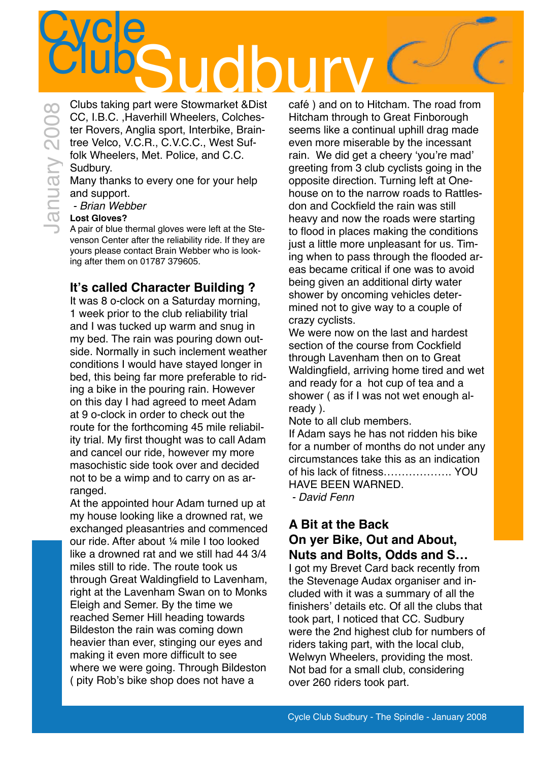# **Cycle** Club taking part were Stowmarket &Dist café) and on to H

Clubs taking part were Stowmarket &Dist CC, I.B.C. ,Haverhill Wheelers, Colchester Rovers, Anglia sport, Interbike, Braintree Velco, V.C.R., C.V.C.C., West Suffolk Wheelers, Met. Police, and C.C. Sudbury. January 2008

Many thanks to every one for your help and support.

 *- Brian Webber*

#### **Lost Gloves?**

A pair of blue thermal gloves were left at the Stevenson Center after the reliability ride. If they are yours please contact Brain Webber who is looking after them on 01787 379605.

### **It's called Character Building ?**

It was 8 o-clock on a Saturday morning, 1 week prior to the club reliability trial and I was tucked up warm and snug in my bed. The rain was pouring down outside. Normally in such inclement weather conditions I would have stayed longer in bed, this being far more preferable to riding a bike in the pouring rain. However on this day I had agreed to meet Adam at 9 o-clock in order to check out the route for the forthcoming 45 mile reliability trial. My first thought was to call Adam and cancel our ride, however my more masochistic side took over and decided not to be a wimp and to carry on as arranged.

At the appointed hour Adam turned up at my house looking like a drowned rat, we exchanged pleasantries and commenced our ride. After about ¼ mile I too looked like a drowned rat and we still had 44 3/4 miles still to ride. The route took us through Great Waldingfield to Lavenham, right at the Lavenham Swan on to Monks Eleigh and Semer. By the time we reached Semer Hill heading towards Bildeston the rain was coming down heavier than ever, stinging our eyes and making it even more difficult to see where we were going. Through Bildeston ( pity Rob's bike shop does not have a

café ) and on to Hitcham. The road from Hitcham through to Great Finborough seems like a continual uphill drag made even more miserable by the incessant rain. We did get a cheery ʻyou're mad' greeting from 3 club cyclists going in the opposite direction. Turning left at Onehouse on to the narrow roads to Rattlesdon and Cockfield the rain was still heavy and now the roads were starting to flood in places making the conditions just a little more unpleasant for us. Timing when to pass through the flooded areas became critical if one was to avoid being given an additional dirty water shower by oncoming vehicles determined not to give way to a couple of crazy cyclists.

We were now on the last and hardest section of the course from Cockfield through Lavenham then on to Great Waldingfield, arriving home tired and wet and ready for a hot cup of tea and a shower ( as if I was not wet enough already ).

Note to all club members.

If Adam says he has not ridden his bike for a number of months do not under any circumstances take this as an indication of his lack of fitness………………. YOU HAVE BEEN WARNED.

 *- David Fenn*

### **A Bit at the Back On yer Bike, Out and About, Nuts and Bolts, Odds and S…**

I got my Brevet Card back recently from the Stevenage Audax organiser and included with it was a summary of all the finishers' details etc. Of all the clubs that took part, I noticed that CC. Sudbury were the 2nd highest club for numbers of riders taking part, with the local club, Welwyn Wheelers, providing the most. Not bad for a small club, considering over 260 riders took part.